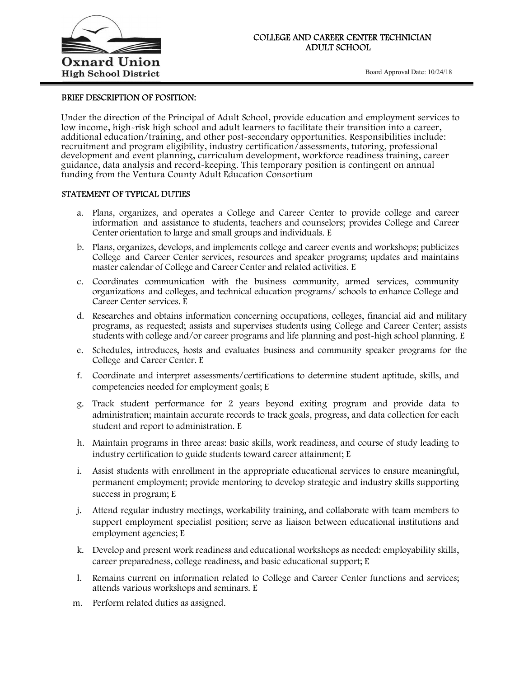

Board Approval Date: 10/24/18

ī

## BRIEF DESCRIPTION OF POSITION:

Under the direction of the Principal of Adult School, provide education and employment services to low income, high-risk high school and adult learners to facilitate their transition into a career, additional education/training, and other post-secondary opportunities. Responsibilities include: recruitment and program eligibility, industry certification/assessments, tutoring, professional development and event planning, curriculum development, workforce readiness training, career guidance, data analysis and record-keeping. This temporary position is contingent on annual funding from the Ventura County Adult Education Consortium

# STATEMENT OF TYPICAL DUTIES

- a. Plans, organizes, and operates a College and Career Center to provide college and career information and assistance to students, teachers and counselors; provides College and Career Center orientation to large and small groups and individuals. E
- b. Plans, organizes, develops, and implements college and career events and workshops; publicizes College and Career Center services, resources and speaker programs; updates and maintains master calendar of College and Career Center and related activities. E
- c. Coordinates communication with the business community, armed services, community organizations and colleges, and technical education programs/ schools to enhance College and Career Center services. E
- d. Researches and obtains information concerning occupations, colleges, financial aid and military programs, as requested; assists and supervises students using College and Career Center; assists students with college and/or career programs and life planning and post-high school planning. E
- e. Schedules, introduces, hosts and evaluates business and community speaker programs for the College and Career Center. E
- f. Coordinate and interpret assessments/certifications to determine student aptitude, skills, and competencies needed for employment goals; E
- g. Track student performance for 2 years beyond exiting program and provide data to administration; maintain accurate records to track goals, progress, and data collection for each student and report to administration. E
- h. Maintain programs in three areas: basic skills, work readiness, and course of study leading to industry certification to guide students toward career attainment; E
- i. Assist students with enrollment in the appropriate educational services to ensure meaningful, permanent employment; provide mentoring to develop strategic and industry skills supporting success in program; E
- j. Attend regular industry meetings, workability training, and collaborate with team members to support employment specialist position; serve as liaison between educational institutions and employment agencies; E
- k. Develop and present work readiness and educational workshops as needed: employability skills, career preparedness, college readiness, and basic educational support; E
- l. Remains current on information related to College and Career Center functions and services; attends various workshops and seminars. E
- m. Perform related duties as assigned.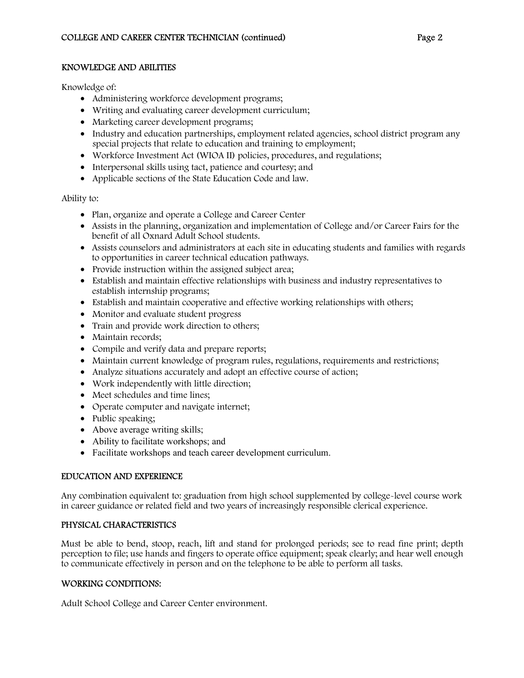#### KNOWLEDGE AND ABILITIES

Knowledge of:

- Administering workforce development programs;
- Writing and evaluating career development curriculum;
- Marketing career development programs;
- Industry and education partnerships, employment related agencies, school district program any special projects that relate to education and training to employment;
- Workforce Investment Act (WIOA II) policies, procedures, and regulations;
- Interpersonal skills using tact, patience and courtesy; and
- Applicable sections of the State Education Code and law.

Ability to:

- Plan, organize and operate a College and Career Center
- Assists in the planning, organization and implementation of College and/or Career Fairs for the benefit of all Oxnard Adult School students.
- Assists counselors and administrators at each site in educating students and families with regards to opportunities in career technical education pathways.
- Provide instruction within the assigned subject area;
- Establish and maintain effective relationships with business and industry representatives to establish internship programs;
- Establish and maintain cooperative and effective working relationships with others;
- Monitor and evaluate student progress
- Train and provide work direction to others;
- Maintain records;
- Compile and verify data and prepare reports;
- Maintain current knowledge of program rules, regulations, requirements and restrictions;
- Analyze situations accurately and adopt an effective course of action;
- Work independently with little direction;
- Meet schedules and time lines;
- Operate computer and navigate internet;
- Public speaking;
- Above average writing skills;
- Ability to facilitate workshops; and
- Facilitate workshops and teach career development curriculum.

### EDUCATION AND EXPERIENCE

Any combination equivalent to: graduation from high school supplemented by college-level course work in career guidance or related field and two years of increasingly responsible clerical experience.

### PHYSICAL CHARACTERISTICS

Must be able to bend, stoop, reach, lift and stand for prolonged periods; see to read fine print; depth perception to file; use hands and fingers to operate office equipment; speak clearly; and hear well enough to communicate effectively in person and on the telephone to be able to perform all tasks.

### WORKING CONDITIONS:

Adult School College and Career Center environment.